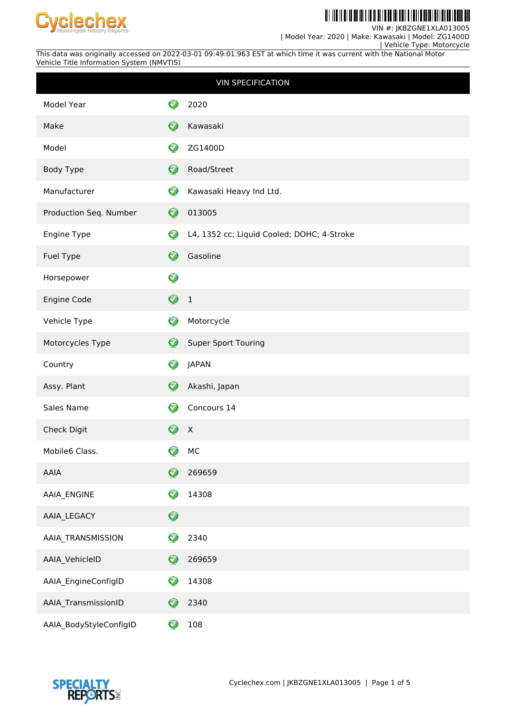

H Ш ║║

VIN #: JKBZGNE1XLA013005

| Model Year: 2020 | Make: Kawasaki | Model: ZG1400D

 | Vehicle Type: Motorcycle This data was originally accessed on 2022-03-01 09:49:01.963 EST at which time it was current with the National Motor Vehicle Title Information System (NMVTIS)

|                        |                  | <b>VIN SPECIFICATION</b>                   |
|------------------------|------------------|--------------------------------------------|
| Model Year             | 7                | 2020                                       |
| Make                   | $\bullet$        | Kawasaki                                   |
| Model                  | Ø                | ZG1400D                                    |
| Body Type              | $\bullet$        | Road/Street                                |
| Manufacturer           | ❤                | Kawasaki Heavy Ind Ltd.                    |
| Production Seq. Number | $\bullet$        | 013005                                     |
| Engine Type            | Ø                | L4, 1352 cc; Liquid Cooled; DOHC; 4-Stroke |
| Fuel Type              | Ø                | Gasoline                                   |
| Horsepower             | $\bullet$        |                                            |
| Engine Code            | ♦                | $\overline{1}$                             |
| Vehicle Type           | Ø                | Motorcycle                                 |
| Motorcycles Type       | Ø                | <b>Super Sport Touring</b>                 |
| Country                | Ø                | <b>JAPAN</b>                               |
| Assy. Plant            | Ø                | Akashi, Japan                              |
| Sales Name             | <mark>√</mark>   | Concours 14                                |
| Check Digit            | $\bullet$        | $\boldsymbol{X}$                           |
| Mobile6 Class.         | 7<br>≖           | MC                                         |
| AAIA                   | $\mathbf \Theta$ | 269659                                     |
| AAIA_ENGINE            | 3                | 14308                                      |
| AAIA_LEGACY            | $\mathbf Q$      |                                            |
| AAIA_TRANSMISSION      | Q                | 2340                                       |
| AAIA_VehicleID         | $\bullet$        | 269659                                     |
| AAIA_EngineConfigID    | 3                | 14308                                      |
| AAIA_TransmissionID    | 0                | 2340                                       |
| AAIA_BodyStyleConfigID | 0                | 108                                        |

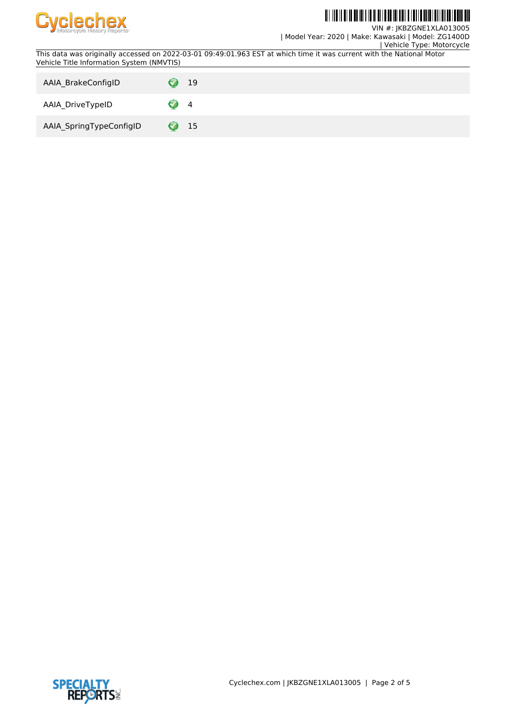

# IO IO OI IO OO III I IO OI II I IO OO III I DOI O I IO I DOI I

VIN #: JKBZGNE1XLA013005 | Model Year: 2020 | Make: Kawasaki | Model: ZG1400D

| Vehicle Type: Motorcycle

This data was originally accessed on 2022-03-01 09:49:01.963 EST at which time it was current with the National Motor Vehicle Title Information System (NMVTIS)

| AAIA BrakeConfigID      | 19                         |
|-------------------------|----------------------------|
| AAIA_DriveTypeID        | $\overline{4}$             |
| AAIA_SpringTypeConfigID | 15<br>$\blacktriangledown$ |

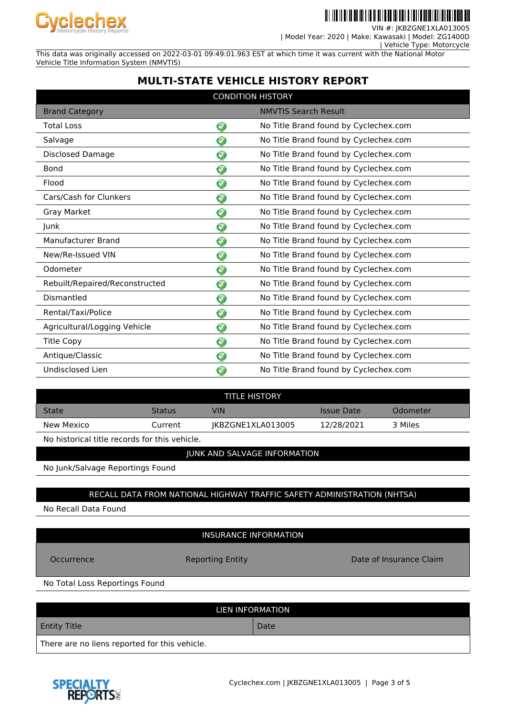

VIN #: JKBZGNE1XLA01 | Model Year: 2020 | Make: Kawasaki | Model: ZG1400D

| Vehicle Type: Motorcycle

This data was originally accessed on 2022-03-01 09:49:01.963 EST at which time it was current with the National Motor Vehicle Title Information System (NMVTIS)

## **MULTI-STATE VEHICLE HISTORY REPORT**

| <b>CONDITION HISTORY</b>       |           |                                       |  |  |
|--------------------------------|-----------|---------------------------------------|--|--|
| <b>Brand Category</b>          |           | <b>NMVTIS Search Result</b>           |  |  |
| <b>Total Loss</b>              | ❤         | No Title Brand found by Cyclechex.com |  |  |
| Salvage                        | 3         | No Title Brand found by Cyclechex.com |  |  |
| Disclosed Damage               | Ø         | No Title Brand found by Cyclechex.com |  |  |
| <b>Bond</b>                    | 7         | No Title Brand found by Cyclechex.com |  |  |
| Flood                          | ❤         | No Title Brand found by Cyclechex.com |  |  |
| Cars/Cash for Clunkers         | $\bullet$ | No Title Brand found by Cyclechex.com |  |  |
| Gray Market                    | ଚ         | No Title Brand found by Cyclechex.com |  |  |
| Junk                           | ❤         | No Title Brand found by Cyclechex.com |  |  |
| Manufacturer Brand             | ❤         | No Title Brand found by Cyclechex.com |  |  |
| New/Re-Issued VIN              | 3         | No Title Brand found by Cyclechex.com |  |  |
| Odometer                       | 3         | No Title Brand found by Cyclechex.com |  |  |
| Rebuilt/Repaired/Reconstructed | 0         | No Title Brand found by Cyclechex.com |  |  |
| Dismantled                     | ❤         | No Title Brand found by Cyclechex.com |  |  |
| Rental/Taxi/Police             | ❤         | No Title Brand found by Cyclechex.com |  |  |
| Agricultural/Logging Vehicle   | ❤         | No Title Brand found by Cyclechex.com |  |  |
| <b>Title Copy</b>              | ❤         | No Title Brand found by Cyclechex.com |  |  |
| Antique/Classic                | ♡         | No Title Brand found by Cyclechex.com |  |  |
| Undisclosed Lien               | Ø         | No Title Brand found by Cyclechex.com |  |  |

| <b>TITLE HISTORY</b> |               |                   |            |          |  |
|----------------------|---------------|-------------------|------------|----------|--|
| <b>State</b>         | <b>Status</b> | VIN               | Issue Date | Odometer |  |
| New Mexico           | Current       | IKBZGNE1XLA013005 | 12/28/2021 | 3 Miles  |  |
| .                    | .             |                   |            |          |  |

No historical title records for this vehicle.

### JUNK AND SALVAGE INFORMATION

No Junk/Salvage Reportings Found

### RECALL DATA FROM NATIONAL HIGHWAY TRAFFIC SAFETY ADMINISTRATION (NHTSA)

No Recall Data Found

### INSURANCE INFORMATION

Occurrence **Reporting Entity Reporting Entity Date of Insurance Claim** 

No Total Loss Reportings Found

| LIEN INFORMATION                              |      |  |  |
|-----------------------------------------------|------|--|--|
| <b>Entity Title</b>                           | Date |  |  |
| There are no liens reported for this vehicle. |      |  |  |

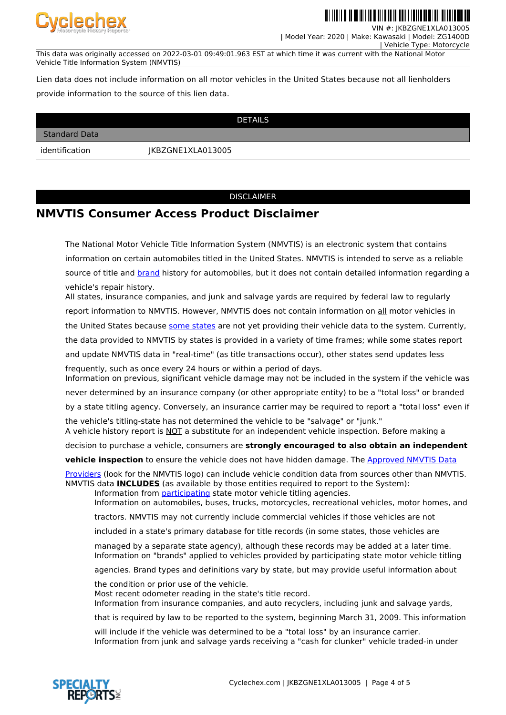

VIN #: JKBZGNE1XLA013005

 | Model Year: 2020 | Make: Kawasaki | Model: ZG1400D | Vehicle Type: Motorcycle

This data was originally accessed on 2022-03-01 09:49:01.963 EST at which time it was current with the National Motor Vehicle Title Information System (NMVTIS)

Lien data does not include information on all motor vehicles in the United States because not all lienholders provide information to the source of this lien data.

| <b>DETAILS</b>       |                   |  |  |  |  |
|----------------------|-------------------|--|--|--|--|
| <b>Standard Data</b> |                   |  |  |  |  |
| identification       | JKBZGNE1XLA013005 |  |  |  |  |

#### DISCLAIMER

## **NMVTIS Consumer Access Product Disclaimer**

The National Motor Vehicle Title Information System (NMVTIS) is an electronic system that contains information on certain automobiles titled in the United States. NMVTIS is intended to serve as a reliable source of title and **brand** history for automobiles, but it does not contain detailed information regarding a vehicle's repair history.

All states, insurance companies, and junk and salvage yards are required by federal law to regularly report information to NMVTIS. However, NMVTIS does not contain information on all motor vehicles in the United States because [some states](https://vehiclehistory.bja.ojp.gov/nmvtis_states) are not yet providing their vehicle data to the system. Currently, the data provided to NMVTIS by states is provided in a variety of time frames; while some states report and update NMVTIS data in "real-time" (as title transactions occur), other states send updates less

frequently, such as once every 24 hours or within a period of days. Information on previous, significant vehicle damage may not be included in the system if the vehicle was

never determined by an insurance company (or other appropriate entity) to be a "total loss" or branded

by a state titling agency. Conversely, an insurance carrier may be required to report a "total loss" even if

the vehicle's titling-state has not determined the vehicle to be "salvage" or "junk." A vehicle history report is NOT a substitute for an independent vehicle inspection. Before making a

decision to purchase a vehicle, consumers are **strongly encouraged to also obtain an independent**

**vehicle inspection** to ensure the vehicle does not have hidden damage. The [Approved NMVTIS Data](https://vehiclehistory.bja.ojp.gov/nmvtis_vehiclehistory)

[Providers](https://vehiclehistory.bja.ojp.gov/nmvtis_vehiclehistory) (look for the NMVTIS logo) can include vehicle condition data from sources other than NMVTIS. NMVTIS data **INCLUDES** (as available by those entities required to report to the System):

Information from [participating](https://vehiclehistory.bja.ojp.gov/nmvtis_states) state motor vehicle titling agencies. Information on automobiles, buses, trucks, motorcycles, recreational vehicles, motor homes, and

tractors. NMVTIS may not currently include commercial vehicles if those vehicles are not

included in a state's primary database for title records (in some states, those vehicles are

managed by a separate state agency), although these records may be added at a later time. Information on "brands" applied to vehicles provided by participating state motor vehicle titling

agencies. Brand types and definitions vary by state, but may provide useful information about

the condition or prior use of the vehicle.

Most recent odometer reading in the state's title record.

Information from insurance companies, and auto recyclers, including junk and salvage yards,

that is required by law to be reported to the system, beginning March 31, 2009. This information

will include if the vehicle was determined to be a "total loss" by an insurance carrier. Information from junk and salvage yards receiving a "cash for clunker" vehicle traded-in under